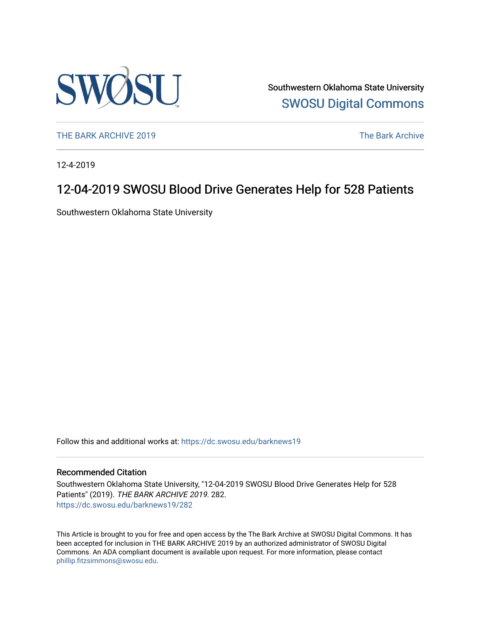

Southwestern Oklahoma State University [SWOSU Digital Commons](https://dc.swosu.edu/) 

[THE BARK ARCHIVE 2019](https://dc.swosu.edu/barknews19) The Bark Archive

12-4-2019

### 12-04-2019 SWOSU Blood Drive Generates Help for 528 Patients

Southwestern Oklahoma State University

Follow this and additional works at: [https://dc.swosu.edu/barknews19](https://dc.swosu.edu/barknews19?utm_source=dc.swosu.edu%2Fbarknews19%2F282&utm_medium=PDF&utm_campaign=PDFCoverPages)

#### Recommended Citation

Southwestern Oklahoma State University, "12-04-2019 SWOSU Blood Drive Generates Help for 528 Patients" (2019). THE BARK ARCHIVE 2019. 282. [https://dc.swosu.edu/barknews19/282](https://dc.swosu.edu/barknews19/282?utm_source=dc.swosu.edu%2Fbarknews19%2F282&utm_medium=PDF&utm_campaign=PDFCoverPages)

This Article is brought to you for free and open access by the The Bark Archive at SWOSU Digital Commons. It has been accepted for inclusion in THE BARK ARCHIVE 2019 by an authorized administrator of SWOSU Digital Commons. An ADA compliant document is available upon request. For more information, please contact [phillip.fitzsimmons@swosu.edu](mailto:phillip.fitzsimmons@swosu.edu).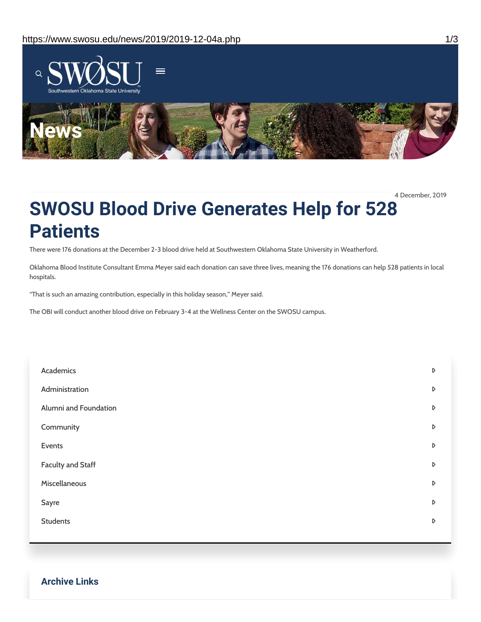

4 December, 2019

## **SWOSU Blood Drive Generates Help for 528 Patients**

There were 176 donations at the December 2-3 blood drive held at Southwestern Oklahoma State University in Weatherford.

Oklahoma Blood Institute Consultant Emma Meyer said each donation can save three lives, meaning the 176 donations can help 528 patients in local hospitals.

"That is such an amazing contribution, especially in this holiday season," Meyer said.

The OBI will conduct another blood drive on February 3-4 at the Wellness Center on the SWOSU campus.

| Academics                | D                |
|--------------------------|------------------|
| Administration           | $\triangleright$ |
| Alumni and Foundation    | D                |
| Community                | D                |
| Events                   | $\triangleright$ |
| <b>Faculty and Staff</b> | $\triangleright$ |
| Miscellaneous            | D                |
| Sayre                    | D                |
| <b>Students</b>          | D                |
|                          |                  |

**Archive Links**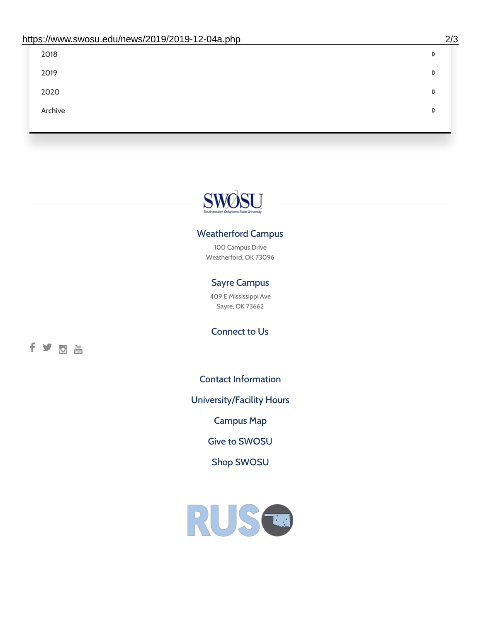| 2018    | D |
|---------|---|
| 2019    | D |
| 2020    | D |
| Archive | D |
|         |   |

# SWØSU

### Weatherford Campus

100 Campus Drive Weatherford, OK 73096

### Sayre Campus

409 E Mississippi Ave Sayre, OK 73662

fyom

Connect to Us

Contact [Information](https://www.swosu.edu/about/contact.php)

[University/Facility](https://www.swosu.edu/about/operating-hours.php) Hours

[Campus](https://map.concept3d.com/?id=768#!ct/10964,10214,10213,10212,10205,10204,10203,10202,10136,10129,10128,0,31226,10130,10201,10641,0) Map

Give to [SWOSU](https://standingfirmly.com/donate)

Shop [SWOSU](https://shopswosu.merchorders.com/)